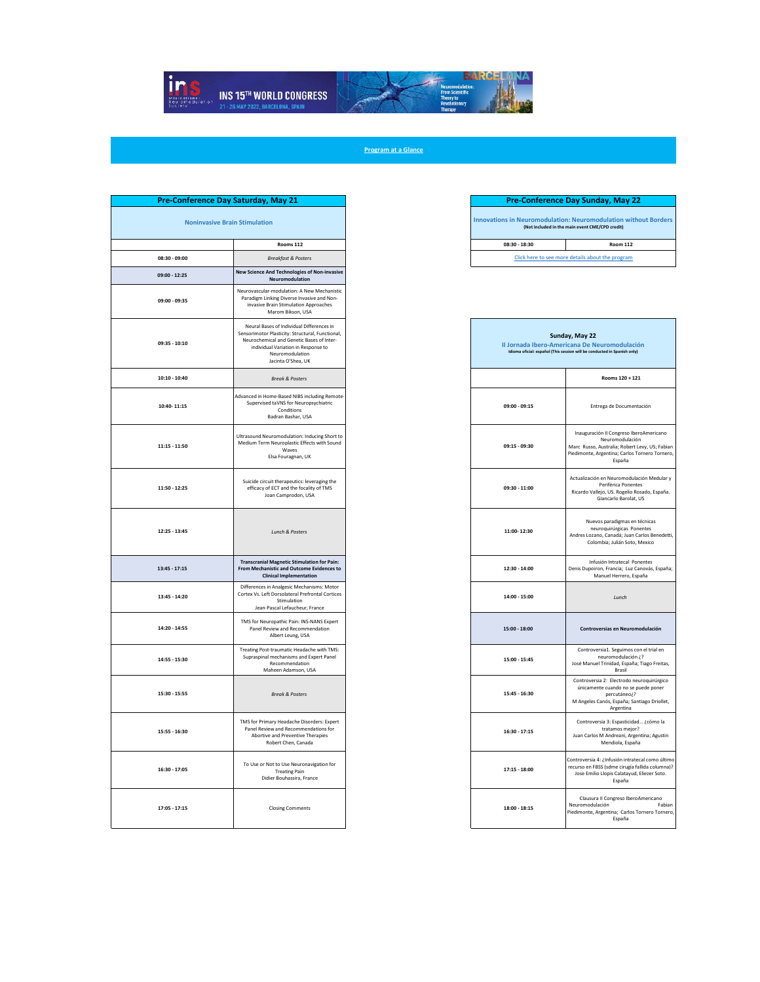

**Program at a Glance**

| av 21           | <b>Pre-Conference Day Sunday, May 22</b> |                                                                                                                           |  |
|-----------------|------------------------------------------|---------------------------------------------------------------------------------------------------------------------------|--|
|                 |                                          | <b>Innovations in Neuromodulation: Neuromodulation without Borders</b><br>(Not included in the main event CME/CPD credit) |  |
| Rooms 112       | $08:30 - 18:30$                          | <b>Room 112</b>                                                                                                           |  |
| kfast & Posters |                                          | Click here to see more details about the program                                                                          |  |

| Sunday, May 22<br>Il Jornada Ibero-Americana De Neuromodulación<br>Idioma oficial: español (This session will be conducted in Spanish only) |                                                                                                                                                                          |  |  |  |
|---------------------------------------------------------------------------------------------------------------------------------------------|--------------------------------------------------------------------------------------------------------------------------------------------------------------------------|--|--|--|
|                                                                                                                                             | Rooms 120 + 121                                                                                                                                                          |  |  |  |
| 09:00 - 09:15                                                                                                                               | Entrega de Documentación                                                                                                                                                 |  |  |  |
| 09:15 - 09:30                                                                                                                               | Inauguración II Congreso IberoAmericano<br>Neuromodulación<br>Marc Russo, Australia; Robert Levy, US; Fabian<br>Piedimonte, Argentina; Carlos Tornero Tornero,<br>España |  |  |  |
| 09:30 - 11:00                                                                                                                               | Actualización en Neuromodulación Medular y<br>Periférica Ponentes<br>Ricardo Vallejo, US. Rogelio Rosado, España.<br>Giancarlo Barolat, US                               |  |  |  |
| 11:00-12:30                                                                                                                                 | Nuevos paradigmas en técnicas<br>neuroquirúrgicas Ponentes<br>Andres Lozano, Canadá; Juan Carlos Benedetti,<br>Colombia; Julián Soto, Mexico                             |  |  |  |
| 12:30 - 14:00                                                                                                                               | Infusión Intratecal Ponentes<br>Denis Dupoiron, Francia; Luz Canovás, España;<br>Manuel Herrero, España                                                                  |  |  |  |
| 14:00 - 15:00                                                                                                                               | Lunch                                                                                                                                                                    |  |  |  |
| 15:00 - 18:00                                                                                                                               | Controversias en Neuromodulación                                                                                                                                         |  |  |  |
| 15:00 - 15:45                                                                                                                               | Controversia1. Seguimos con el trial en<br>neuromodulación ¿?<br>José Manuel Trinidad, España; Tiago Freitas,<br>Brasil                                                  |  |  |  |
| 15:45 - 16:30                                                                                                                               | Controversia 2: Electrodo neuroquirúrgico<br>únicamente cuando no se puede poner<br>percutáneo¿?<br>M Angeles Canós, España; Santiago Driollet,<br>Argentina             |  |  |  |
| 16:30 - 17:15                                                                                                                               | Controversia 3: Espasticidad ¿cómo la<br>tratamos mejor?<br>Juan Carlos M Andreani, Argentina; Agustin<br>Mendiola, España                                               |  |  |  |
| $17:15 - 18:00$                                                                                                                             | Controversia 4: ¿Infusión intratecal como último<br>recurso en FBSS (sdme cirugía fallida columna)?<br>Jose Emilio Llopis Calatayud, Eliezer Soto.<br>España             |  |  |  |
| $18:00 - 18:15$                                                                                                                             | Clausura II Congreso IberoAmericano<br>Neuromodulación<br>Fabian<br>Piedimonte, Argentina; Carlos Tornero Tornero,<br>España                                             |  |  |  |

| Pre-Conference Day Saturday, May 21  |                                                                                                                                                                                                                                                 |
|--------------------------------------|-------------------------------------------------------------------------------------------------------------------------------------------------------------------------------------------------------------------------------------------------|
| <b>Noninvasive Brain Stimulation</b> |                                                                                                                                                                                                                                                 |
|                                      | Rooms 112                                                                                                                                                                                                                                       |
| 08:30 - 09:00                        | <b>Breakfast &amp; Posters</b>                                                                                                                                                                                                                  |
| 09:00 - 12:25<br>09:00 - 09:35       | New Science And Technologies of Non-invasive<br>Neuromodulation<br>Neurovascular-modulation: A New Mechanistic<br>Paradigm Linking Diverse Invasive and Non-<br>invasive Brain Stimulation Approaches                                           |
| 09:35 - 10:10                        | Marom Bikson, USA<br>Neural Bases of Individual Differences in<br>Sensorimotor Plasticity: Structural, Functional,<br>Neurochemical and Genetic Bases of Inter-<br>individual Variation in Response to<br>Neuromodulation<br>Jacinta O'Shea, UK |
| $10:10 - 10:40$                      | <b>Break &amp; Posters</b>                                                                                                                                                                                                                      |
| 10:40-11:15                          | Advanced in Home-Based NIBS including Remote-<br>Supervised taVNS for Neuropsychiatric<br>Conditions<br>Badran Bashar, USA                                                                                                                      |
| $11:15 - 11:50$                      | Ultrasound Neuromodulation: Inducing Short to<br>Medium Term Neuroplastic Effects with Sound<br>Waves<br>Elsa Fouragnan, UK                                                                                                                     |
| 11:50 - 12:25                        | Suicide circuit therapeutics: leveraging the<br>efficacy of ECT and the focality of TMS<br>Joan Camprodon, USA                                                                                                                                  |
| 12:25 - 13:45                        | <b>Lunch &amp; Posters</b>                                                                                                                                                                                                                      |
| $13:45 - 17:15$                      | <b>Transcranial Magnetic Stimulation for Pain:</b><br>From Mechanistic and Outcome Evidences to<br><b>Clinical Implementation</b>                                                                                                               |
| 13:45 - 14:20                        | Differences in Analgesic Mechanisms: Motor<br>Cortex Vs. Left Dorsolateral Prefrontal Cortices<br>Stimulation<br>Jean-Pascal Lefaucheur, France                                                                                                 |
| 14:20 - 14:55                        | TMS for Neuropathic Pain: INS-NANS Expert<br>Panel Review and Recommendation<br>Albert Leung, USA                                                                                                                                               |
| 14:55 - 15:30                        | Treating Post-traumatic Headache with TMS:<br>Supraspinal mechanisms and Expert Panel<br>Recommendation<br>Maheen Adamson, USA                                                                                                                  |
| 15:30 - 15:55                        | <b>Break &amp; Posters</b>                                                                                                                                                                                                                      |
| 15:55 - 16:30                        | TMS for Primary Headache Disorders: Expert<br>Panel Review and Recommendations for<br>Abortive and Preventive Therapies<br>Robert Chen, Canada                                                                                                  |
| 16:30 - 17:05                        | To Use or Not to Use Neuronavigation for<br><b>Treating Pain</b><br>Didier Bouhassira, France                                                                                                                                                   |
| $17:05 - 17:15$                      | <b>Closing Comments</b>                                                                                                                                                                                                                         |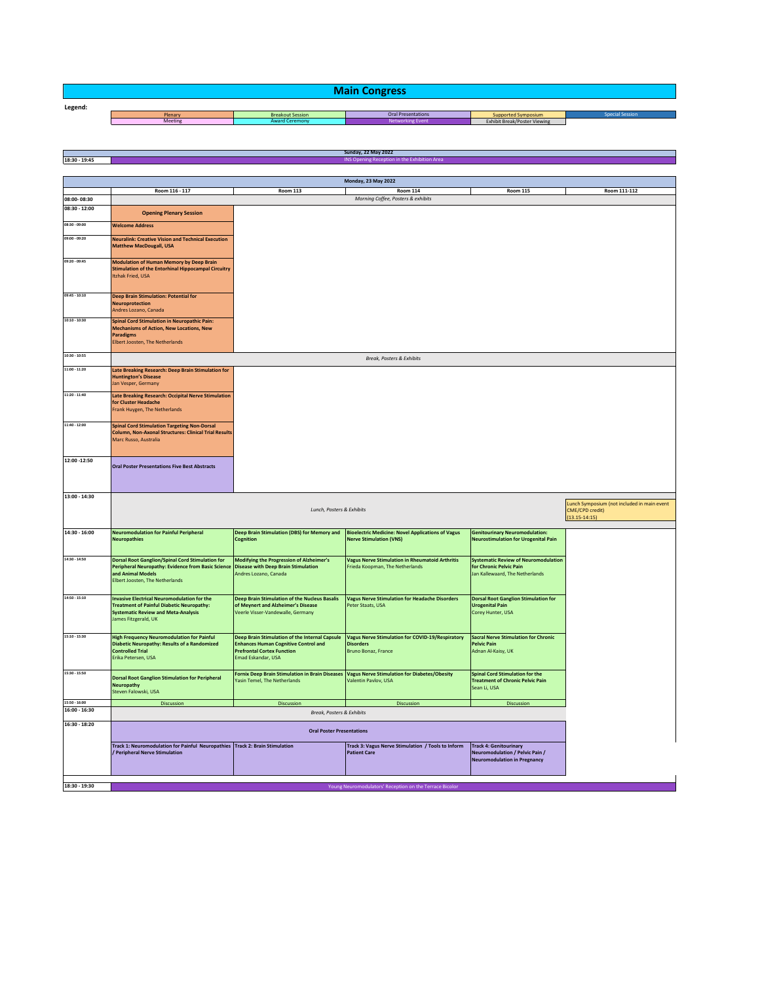| <b>Main Congress</b> |         |                         |                           |                              |                |  |
|----------------------|---------|-------------------------|---------------------------|------------------------------|----------------|--|
| Legend:              |         |                         |                           |                              |                |  |
|                      | Plenary | <b>Breakout Session</b> | <b>Oral Presentations</b> | Supported Symposium          | pecial Session |  |
|                      | Meeting | <b>Award Ceremony</b>   | <b>Networking Event</b>   | Exhibit Break/Poster Viewing |                |  |

|                 |                                                                                                                                                                              |                                                                                                                                                          | <b>Sunday, 22 May 2022</b>                                                                         |                                                                                                           |                                                                                     |
|-----------------|------------------------------------------------------------------------------------------------------------------------------------------------------------------------------|----------------------------------------------------------------------------------------------------------------------------------------------------------|----------------------------------------------------------------------------------------------------|-----------------------------------------------------------------------------------------------------------|-------------------------------------------------------------------------------------|
| 18:30 - 19:45   |                                                                                                                                                                              |                                                                                                                                                          | INS Opening Reception in the Exhibition Are                                                        |                                                                                                           |                                                                                     |
|                 |                                                                                                                                                                              |                                                                                                                                                          |                                                                                                    |                                                                                                           |                                                                                     |
|                 |                                                                                                                                                                              |                                                                                                                                                          | Monday, 23 May 2022                                                                                |                                                                                                           |                                                                                     |
|                 | Room 116 - 117                                                                                                                                                               | <b>Room 113</b>                                                                                                                                          | <b>Room 114</b>                                                                                    | <b>Room 115</b>                                                                                           | Room 111-112                                                                        |
| 08:00-08:30     |                                                                                                                                                                              |                                                                                                                                                          | Morning Coffee, Posters & exhibits                                                                 |                                                                                                           |                                                                                     |
| $08:30 - 12:00$ | <b>Opening Plenary Session</b>                                                                                                                                               |                                                                                                                                                          |                                                                                                    |                                                                                                           |                                                                                     |
| 08:30 - 09:00   |                                                                                                                                                                              |                                                                                                                                                          |                                                                                                    |                                                                                                           |                                                                                     |
|                 | <b>Welcome Address</b>                                                                                                                                                       |                                                                                                                                                          |                                                                                                    |                                                                                                           |                                                                                     |
| 09:00 - 09:20   | <b>Neuralink: Creative Vision and Technical Execution</b><br><b>Matthew MacDougall, USA</b>                                                                                  |                                                                                                                                                          |                                                                                                    |                                                                                                           |                                                                                     |
|                 |                                                                                                                                                                              |                                                                                                                                                          |                                                                                                    |                                                                                                           |                                                                                     |
| 09:20 - 09:45   | <b>Modulation of Human Memory by Deep Brain</b><br><b>Stimulation of the Entorhinal Hippocampal Circuitry</b><br><b>Itzhak Fried, USA</b>                                    |                                                                                                                                                          |                                                                                                    |                                                                                                           |                                                                                     |
| 09:45 - 10:10   | <b>Deep Brain Stimulation: Potential for</b><br><b>Neuroprotection</b><br>Andres Lozano, Canada                                                                              |                                                                                                                                                          |                                                                                                    |                                                                                                           |                                                                                     |
| 10:10 - 10:30   | <b>Spinal Cord Stimulation in Neuropathic Pain:</b><br><b>Mechanisms of Action, New Locations, New</b><br><b>Paradigms</b><br><b>Elbert Joosten, The Netherlands</b>         |                                                                                                                                                          |                                                                                                    |                                                                                                           |                                                                                     |
| 10:30 - 10:55   |                                                                                                                                                                              |                                                                                                                                                          | Break, Posters & Exhibits                                                                          |                                                                                                           |                                                                                     |
| $11:00 - 11:20$ |                                                                                                                                                                              |                                                                                                                                                          |                                                                                                    |                                                                                                           |                                                                                     |
|                 | Late Breaking Research: Deep Brain Stimulation for<br><b>Huntington's Disease</b><br>Jan Vesper, Germany                                                                     |                                                                                                                                                          |                                                                                                    |                                                                                                           |                                                                                     |
| 11:20 - 11:40   | Late Breaking Research: Occipital Nerve Stimulation<br>for Cluster Headache<br><b>Frank Huygen, The Netherlands</b>                                                          |                                                                                                                                                          |                                                                                                    |                                                                                                           |                                                                                     |
| 11:40 - 12:00   | <b>Spinal Cord Stimulation Targeting Non-Dorsal</b><br><b>Column, Non-Axonal Structures: Clinical Trial Results</b><br>Marc Russo, Australia                                 |                                                                                                                                                          |                                                                                                    |                                                                                                           |                                                                                     |
| 12:00 -12:50    | <b>Oral Poster Presentations Five Best Abstracts</b>                                                                                                                         |                                                                                                                                                          |                                                                                                    |                                                                                                           |                                                                                     |
| 13:00 - 14:30   |                                                                                                                                                                              |                                                                                                                                                          |                                                                                                    |                                                                                                           |                                                                                     |
|                 | Lunch, Posters & Exhibits                                                                                                                                                    |                                                                                                                                                          |                                                                                                    |                                                                                                           | Lunch Symposium (not included in main event<br>CME/CPD credit)<br>$(13.15 - 14:15)$ |
| 14:30 - 16:00   | <b>Neuromodulation for Painful Peripheral</b>                                                                                                                                | Deep Brain Stimulation (DBS) for Memory and                                                                                                              | <b>Bioelectric Medicine: Novel Applications of Vagus</b>                                           | <b>Genitourinary Neuromodulation:</b>                                                                     |                                                                                     |
|                 | <b>Neuropathies</b>                                                                                                                                                          | Cognition                                                                                                                                                | <b>Nerve Stimulation (VNS)</b>                                                                     | <b>Neurostimulation for Urogenital Pain</b>                                                               |                                                                                     |
| 14:30 - 14:50   | <b>Dorsal Root Ganglion/Spinal Cord Stimulation for</b><br>Peripheral Neuropathy: Evidence from Basic Science<br>and Animal Models<br>Elbert Joosten, The Netherlands        | Modifying the Progression of Alzheimer's<br><b>Disease with Deep Brain Stimulation</b><br>Andres Lozano, Canada                                          | <b>Vagus Nerve Stimulation in Rheumatoid Arthritis</b><br>Frieda Koopman, The Netherlands          | <b>Systematic Review of Neuromodulation</b><br>for Chronic Pelvic Pain<br>Jan Kallewaard, The Netherlands |                                                                                     |
| 14:50 - 15:10   | <b>Invasive Electrical Neuromodulation for the</b><br><b>Treatment of Painful Diabetic Neuropathy:</b><br><b>Systematic Review and Meta-Analysis</b><br>James Fitzgerald, UK | Deep Brain Stimulation of the Nucleus Basalis<br>of Meynert and Alzheimer's Disease<br>Veerle Visser-Vandewalle, Germany                                 | <b>Vagus Nerve Stimulation for Headache Disorders</b><br>Peter Staats, USA                         | <b>Dorsal Root Ganglion Stimulation for</b><br><b>Urogenital Pain</b><br>Corey Hunter, USA                |                                                                                     |
| 15:10 - 15:30   | <b>High Frequency Neuromodulation for Painful</b><br><b>Diabetic Neuropathy: Results of a Randomized</b><br><b>Controlled Trial</b><br>Erika Petersen, USA                   | Deep Brain Stimulation of the Internal Capsule<br><b>Enhances Human Cognitive Control and</b><br><b>Prefrontal Cortex Function</b><br>Emad Eskandar, USA | <b>Vagus Nerve Stimulation for COVID-19/Respiratory</b><br><b>Disorders</b><br>Bruno Bonaz, France | <b>Sacral Nerve Stimulation for Chronic</b><br><b>Pelvic Pain</b><br>Adnan Al-Kaisy, UK                   |                                                                                     |
| 15:30 - 15:50   | <b>Dorsal Root Ganglion Stimulation for Peripheral</b><br><b>Neuropathy</b><br>Steven Falowski, USA                                                                          | <b>Fornix Deep Brain Stimulation in Brain Diseases</b><br>Yasin Temel, The Netherlands                                                                   | <b>Vagus Nerve Stimulation for Diabetes/Obesity</b><br>Valentin Pavlov, USA                        | <b>Spinal Cord Stimulation for the</b><br><b>Treatment of Chronic Pelvic Pain</b><br>Sean Li, USA         |                                                                                     |
| 15:50 - 16:00   | <b>Discussion</b>                                                                                                                                                            | <b>Discussion</b>                                                                                                                                        | <b>Discussion</b>                                                                                  | <b>Discussion</b>                                                                                         |                                                                                     |
| $16:00 - 16:30$ |                                                                                                                                                                              | Break, Posters & Exhibits                                                                                                                                |                                                                                                    |                                                                                                           |                                                                                     |
| 16:30 - 18:20   | <b>Oral Poster Presentations</b>                                                                                                                                             |                                                                                                                                                          |                                                                                                    |                                                                                                           |                                                                                     |
|                 | Track 1: Neuromodulation for Painful Neuropathies Track 2: Brain Stimulation                                                                                                 |                                                                                                                                                          | Track 3: Vagus Nerve Stimulation / Tools to Inform                                                 | <b>Track 4: Genitourinary</b>                                                                             |                                                                                     |
|                 | <b>/ Peripheral Nerve Stimulation</b>                                                                                                                                        |                                                                                                                                                          | <b>Patient Care</b>                                                                                | Neuromodulation / Pelvic Pain /<br><b>Neuromodulation in Pregnancy</b>                                    |                                                                                     |
|                 |                                                                                                                                                                              |                                                                                                                                                          |                                                                                                    |                                                                                                           |                                                                                     |
| 18:30 - 19:30   |                                                                                                                                                                              |                                                                                                                                                          | Young Neuromodulators' Reception on the Terrace Bicolor                                            |                                                                                                           |                                                                                     |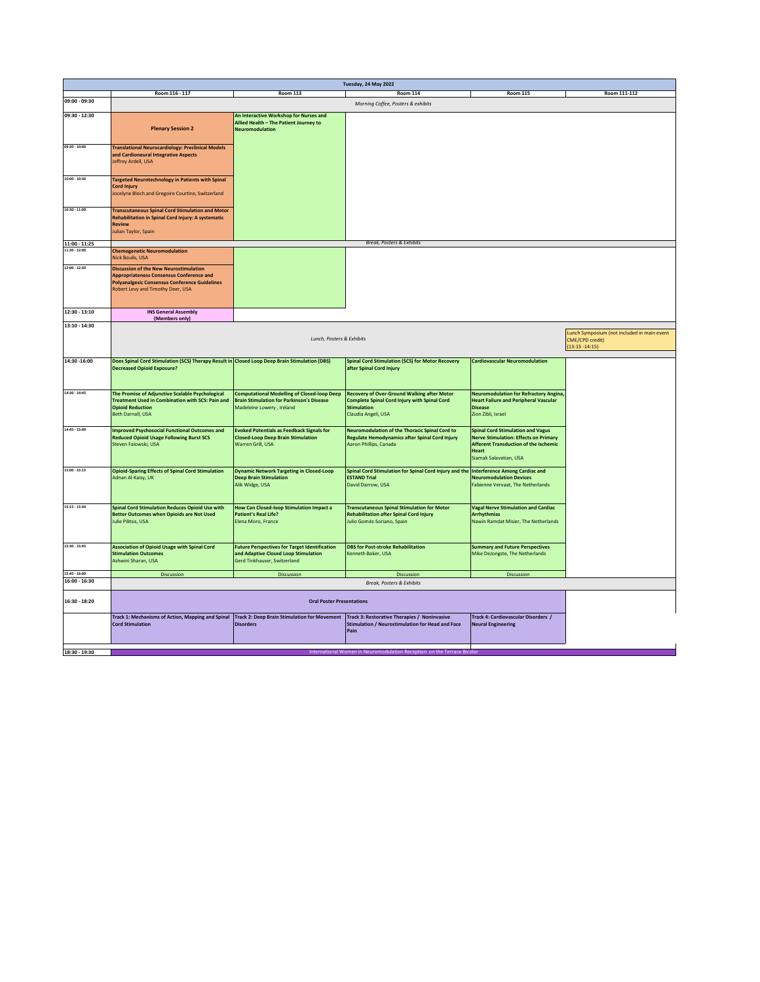|                 | Tuesday, 24 May 2022                                                                                        |                                                                                                        |                                                                                                           |                                                                                               |                                             |  |
|-----------------|-------------------------------------------------------------------------------------------------------------|--------------------------------------------------------------------------------------------------------|-----------------------------------------------------------------------------------------------------------|-----------------------------------------------------------------------------------------------|---------------------------------------------|--|
|                 | Room 116 - 117                                                                                              | <b>Room 113</b>                                                                                        | <b>Room 114</b>                                                                                           | <b>Room 115</b>                                                                               | Room 111-112                                |  |
| 09:00 - 09:30   | Morning Coffee, Posters & exhibits                                                                          |                                                                                                        |                                                                                                           |                                                                                               |                                             |  |
| 09:30 - 12:30   | An Interactive Workshop for Nurses and                                                                      |                                                                                                        |                                                                                                           |                                                                                               |                                             |  |
|                 |                                                                                                             | Allied Health - The Patient Journey to                                                                 |                                                                                                           |                                                                                               |                                             |  |
|                 | <b>Plenary Session 2</b>                                                                                    | Neuromodulation                                                                                        |                                                                                                           |                                                                                               |                                             |  |
|                 |                                                                                                             |                                                                                                        |                                                                                                           |                                                                                               |                                             |  |
| 09:30 - 10:00   | <b>Translational Neurocardiology: Preclinical Models</b>                                                    |                                                                                                        |                                                                                                           |                                                                                               |                                             |  |
|                 | and Cardioneural Integrative Aspects<br>Jeffrey Ardell, USA                                                 |                                                                                                        |                                                                                                           |                                                                                               |                                             |  |
|                 |                                                                                                             |                                                                                                        |                                                                                                           |                                                                                               |                                             |  |
| 10:00 - 10:30   | <b>Targeted Neurotechnology in Patients with Spinal</b>                                                     |                                                                                                        |                                                                                                           |                                                                                               |                                             |  |
|                 | <b>Cord Injury</b>                                                                                          |                                                                                                        |                                                                                                           |                                                                                               |                                             |  |
|                 | Jocelyne Bloch and Gregoire Courtine, Switzerland                                                           |                                                                                                        |                                                                                                           |                                                                                               |                                             |  |
|                 |                                                                                                             |                                                                                                        |                                                                                                           |                                                                                               |                                             |  |
| 10:30 - 11:00   | <b>Transcutaneous Spinal Cord Stimulation and Motor</b>                                                     |                                                                                                        |                                                                                                           |                                                                                               |                                             |  |
|                 | Rehabilitation in Spinal Cord Injury: A systematic<br><b>Review</b>                                         |                                                                                                        |                                                                                                           |                                                                                               |                                             |  |
|                 | Julian Taylor, Spain                                                                                        |                                                                                                        |                                                                                                           |                                                                                               |                                             |  |
| $11:00 - 11:25$ |                                                                                                             |                                                                                                        | <b>Break, Posters &amp; Exhibits</b>                                                                      |                                                                                               |                                             |  |
| 11:30 - 12:00   | <b>Chemogenetic Neuromodulation</b>                                                                         |                                                                                                        |                                                                                                           |                                                                                               |                                             |  |
|                 | <b>Nick Boulis, USA</b>                                                                                     |                                                                                                        |                                                                                                           |                                                                                               |                                             |  |
| 12:00 - 12:30   | <b>Discussion of the New Neurostimulation</b>                                                               |                                                                                                        |                                                                                                           |                                                                                               |                                             |  |
|                 | <b>Appropriateness Consensus Conference and</b>                                                             |                                                                                                        |                                                                                                           |                                                                                               |                                             |  |
|                 | <b>Polyanalgesic Consensus Conference Guidelines</b><br>Robert Levy and Timothy Deer, USA                   |                                                                                                        |                                                                                                           |                                                                                               |                                             |  |
|                 |                                                                                                             |                                                                                                        |                                                                                                           |                                                                                               |                                             |  |
|                 |                                                                                                             |                                                                                                        |                                                                                                           |                                                                                               |                                             |  |
| 12:30 - 13:10   | <b>INS General Assembly</b><br>(Members only)                                                               |                                                                                                        |                                                                                                           |                                                                                               |                                             |  |
| 13:10 - 14:30   |                                                                                                             |                                                                                                        |                                                                                                           |                                                                                               |                                             |  |
|                 |                                                                                                             |                                                                                                        |                                                                                                           |                                                                                               | Lunch Symposium (not included in main event |  |
|                 |                                                                                                             | Lunch, Posters & Exhibits                                                                              |                                                                                                           |                                                                                               | CME/CPD credit)                             |  |
|                 |                                                                                                             |                                                                                                        |                                                                                                           |                                                                                               | $(13:15 - 14:15)$                           |  |
| 14:30 - 16:00   | Does Spinal Cord Stimulation (SCS) Therapy Result in Closed Loop Deep Brain Stimulation (DBS)               |                                                                                                        | <b>Spinal Cord Stimulation (SCS) for Motor Recovery</b>                                                   | <b>Cardiovascular Neuromodulation</b>                                                         |                                             |  |
|                 | <b>Decreased Opioid Exposure?</b>                                                                           |                                                                                                        | after Spinal Cord Injury                                                                                  |                                                                                               |                                             |  |
|                 |                                                                                                             |                                                                                                        |                                                                                                           |                                                                                               |                                             |  |
| 14:30 - 14:45   |                                                                                                             |                                                                                                        |                                                                                                           |                                                                                               |                                             |  |
|                 | The Promise of Adjunctive Scalable Psychological<br><b>Treatment Used in Combination with SCS: Pain and</b> | <b>Computational Modelling of Closed-loop Deep</b><br><b>Brain Stimulation for Parkinson's Disease</b> | <b>Recovery of Over-Ground Walking after Motor</b><br><b>Complete Spinal Cord Injury with Spinal Cord</b> | <b>Neuromodulation for Refractory Angina,</b><br><b>Heart Failure and Peripheral Vascular</b> |                                             |  |
|                 | <b>Opioid Reduction</b>                                                                                     | Madeleine Lowery, Ireland                                                                              | <b>Stimulation</b>                                                                                        | <b>Disease</b>                                                                                |                                             |  |
|                 | <b>Beth Darnall, USA</b>                                                                                    |                                                                                                        | Claudia Angeli, USA                                                                                       | Zion Zibli, Israel                                                                            |                                             |  |
| 14:45 - 15:00   | <b>Improved Psychosocial Functional Outcomes and</b>                                                        | <b>Evoked Potentials as Feedback Signals for</b>                                                       | Neuromodulation of the Thoracic Spinal Cord to                                                            | <b>Spinal Cord Stimulation and Vagus</b>                                                      |                                             |  |
|                 | <b>Reduced Opioid Usage Following Burst SCS</b>                                                             | <b>Closed-Loop Deep Brain Stimulation</b>                                                              | Regulate Hemodynamics after Spinal Cord Injury                                                            | <b>Nerve Stimulation: Effects on Primary</b>                                                  |                                             |  |
|                 | Steven Falowski, USA                                                                                        | Warren Grill, USA                                                                                      | Aaron Phillips, Canada                                                                                    | <b>Afferent Transduction of the Ischemic</b>                                                  |                                             |  |
|                 |                                                                                                             |                                                                                                        |                                                                                                           | Heart<br>Siamak Salavatian, USA                                                               |                                             |  |
|                 |                                                                                                             |                                                                                                        |                                                                                                           |                                                                                               |                                             |  |
| 15:00 - 15:15   | <b>Opioid-Sparing Effects of Spinal Cord Stimulation</b>                                                    | <b>Dynamic Network Targeting in Closed-Loop</b>                                                        | Spinal Cord Stimulation for Spinal Cord Injury and the                                                    | <b>Interference Among Cardiac and</b>                                                         |                                             |  |
|                 | Adnan Al-Kaisy, UK                                                                                          | <b>Deep Brain Stimulation</b><br>Alik Widge, USA                                                       | <b>ESTAND Trial</b><br>David Darrow, USA                                                                  | <b>Neuromodulation Devices</b><br>Fabienne Vervaat, The Netherlands                           |                                             |  |
|                 |                                                                                                             |                                                                                                        |                                                                                                           |                                                                                               |                                             |  |
|                 |                                                                                                             |                                                                                                        |                                                                                                           |                                                                                               |                                             |  |
| 15:15 - 15:30   | <b>Spinal Cord Stimulation Reduces Opioid Use with</b>                                                      | <b>How Can Closed-loop Stimulation Impact a</b>                                                        | <b>Transcutaneous Spinal Stimulation for Motor</b>                                                        | <b>Vagal Nerve Stimulation and Cardiac</b>                                                    |                                             |  |
|                 | <b>Better Outcomes when Opioids are Not Used</b><br>Julie Pilitsis, USA                                     | <b>Patient's Real Life?</b><br>Elena Moro, France                                                      | <b>Rehabilitation after Spinal Cord Injury</b><br>Julio Goméz-Soriano, Spain                              | <b>Arrhythmias</b><br>Nawin Ramdat Misier, The Netherlands                                    |                                             |  |
|                 |                                                                                                             |                                                                                                        |                                                                                                           |                                                                                               |                                             |  |
|                 |                                                                                                             |                                                                                                        |                                                                                                           |                                                                                               |                                             |  |
| 15:30 - 15:45   | <b>Association of Opioid Usage with Spinal Cord</b>                                                         | <b>Future Perspectives for Target Identification</b>                                                   | <b>DBS</b> for Post-stroke Rehabilitation                                                                 | <b>Summary and Future Perspectives</b>                                                        |                                             |  |
|                 | <b>Stimulation Outcomes</b>                                                                                 | and Adaptive Closed Loop Stimulation                                                                   | Kenneth Baker, USA                                                                                        | Mike DeJongste, The Netherlands                                                               |                                             |  |
|                 | Ashwini Sharan, USA                                                                                         | Gerd Tinkhauser, Switzerland                                                                           |                                                                                                           |                                                                                               |                                             |  |
| 15:45 - 16:00   | <b>Discussion</b>                                                                                           | Discussion                                                                                             | <b>Discussion</b>                                                                                         | <b>Discussion</b>                                                                             |                                             |  |
| 16:00 - 16:30   |                                                                                                             |                                                                                                        | <b>Break, Posters &amp; Exhibits</b>                                                                      |                                                                                               |                                             |  |
|                 |                                                                                                             |                                                                                                        |                                                                                                           |                                                                                               |                                             |  |
| 16:30 - 18:20   | <b>Oral Poster Presentations</b>                                                                            |                                                                                                        |                                                                                                           |                                                                                               |                                             |  |
|                 |                                                                                                             |                                                                                                        |                                                                                                           |                                                                                               |                                             |  |
|                 | Track 1: Mechanisms of Action, Mapping and Spinal<br><b>Cord Stimulation</b>                                | <b>Track 2: Deep Brain Stimulation for Movement</b>                                                    | Track 3: Restorative Therapies / Noninvasive                                                              | Track 4: Cardiovascular Disorders /                                                           |                                             |  |
|                 |                                                                                                             | <b>Disorders</b>                                                                                       | Stimulation / Neurostimulation for Head and Face<br>Pain                                                  | <b>Neural Engineering</b>                                                                     |                                             |  |
|                 |                                                                                                             |                                                                                                        |                                                                                                           |                                                                                               |                                             |  |
|                 |                                                                                                             |                                                                                                        |                                                                                                           |                                                                                               |                                             |  |
| 18:30 - 19:30   |                                                                                                             |                                                                                                        | International Women in Neuromodulation Reception on the Terrace Bico                                      |                                                                                               |                                             |  |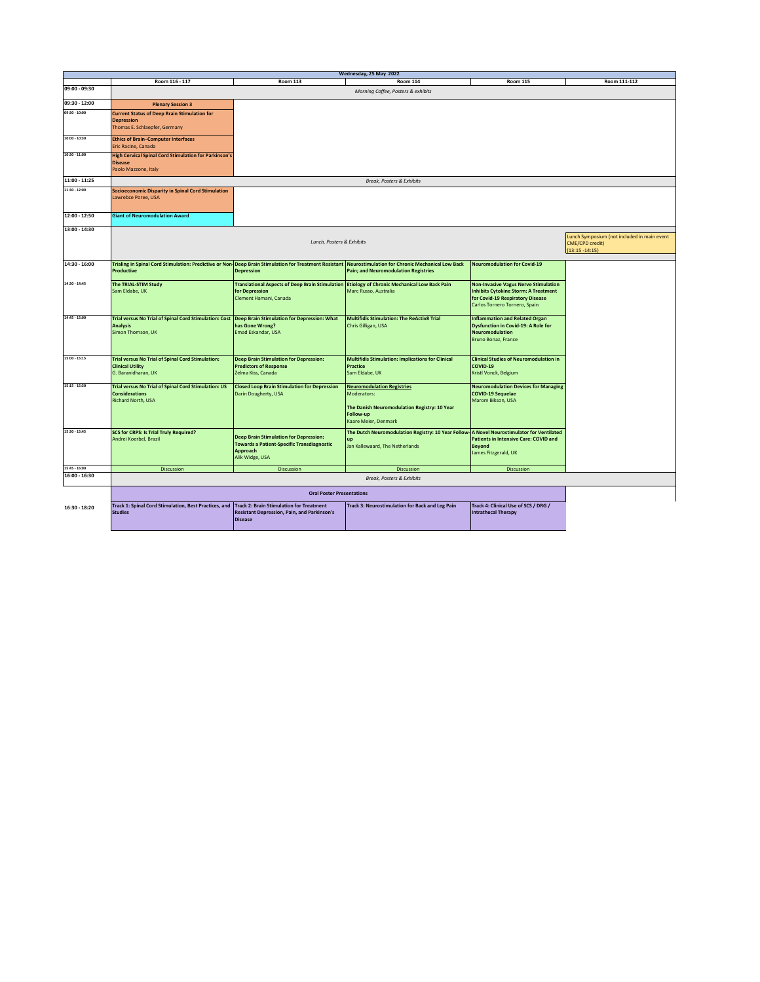| Wednesday, 25 May 2022 |                                                                                                                                            |                                                                                                                                          |                                                                                                                                       |                                                                                                                                                                 |              |  |
|------------------------|--------------------------------------------------------------------------------------------------------------------------------------------|------------------------------------------------------------------------------------------------------------------------------------------|---------------------------------------------------------------------------------------------------------------------------------------|-----------------------------------------------------------------------------------------------------------------------------------------------------------------|--------------|--|
|                        | Room 116 - 117                                                                                                                             | <b>Room 113</b>                                                                                                                          | <b>Room 114</b>                                                                                                                       | <b>Room 115</b>                                                                                                                                                 | Room 111-112 |  |
| 09:00 - 09:30          | Morning Coffee, Posters & exhibits                                                                                                         |                                                                                                                                          |                                                                                                                                       |                                                                                                                                                                 |              |  |
| 09:30 - 12:00          | <b>Plenary Session 3</b>                                                                                                                   |                                                                                                                                          |                                                                                                                                       |                                                                                                                                                                 |              |  |
| 09:30 - 10:00          | <b>Current Status of Deep Brain Stimulation for</b><br><b>Depression</b><br>Thomas E. Schlaepfer, Germany                                  |                                                                                                                                          |                                                                                                                                       |                                                                                                                                                                 |              |  |
| 10:00 - 10:30          | <b>Ethics of Brain-Computer Interfaces</b><br>Eric Racine, Canada                                                                          |                                                                                                                                          |                                                                                                                                       |                                                                                                                                                                 |              |  |
| 10:30 - 11:00          | <b>High Cervical Spinal Cord Stimulation for Parkinson's</b><br><b>Disease</b><br>Paolo Mazzone, Italy                                     |                                                                                                                                          |                                                                                                                                       |                                                                                                                                                                 |              |  |
| 11:00 - 11:25          |                                                                                                                                            |                                                                                                                                          | Break, Posters & Exhibits                                                                                                             |                                                                                                                                                                 |              |  |
| 11:30 - 12:00          | <b>Socioeconomic Disparity in Spinal Cord Stimulation</b><br>Lawrebce Poree, USA                                                           |                                                                                                                                          |                                                                                                                                       |                                                                                                                                                                 |              |  |
| 12:00 - 12:50          | <b>Giant of Neuromodulation Award</b>                                                                                                      |                                                                                                                                          |                                                                                                                                       |                                                                                                                                                                 |              |  |
| 13:00 - 14:30          | Lunch Symposium (not included in main event<br>Lunch, Posters & Exhibits<br><b>CME/CPD credit)</b><br>$(13:15 - 14:15)$                    |                                                                                                                                          |                                                                                                                                       |                                                                                                                                                                 |              |  |
| 14:30 - 16:00          | Trialing in Spinal Cord Stimulation: Predictive or Non-Deep Brain Stimulation for Treatment Resistant<br><b>Productive</b>                 | <b>Depression</b>                                                                                                                        | Neurostimulation for Chronic Mechanical Low Back<br><b>Pain; and Neuromodulation Registries</b>                                       | <b>Neuromodulation for Covid-19</b>                                                                                                                             |              |  |
| 14:30 - 14:45          | The TRIAL-STIM Study<br>Sam Eldabe, UK                                                                                                     | Translational Aspects of Deep Brain Stimulation Etiology of Chronic Mechanical Low Back Pain<br>for Depression<br>Clement Hamani, Canada | Marc Russo, Australia                                                                                                                 | <b>Non-Invasive Vagus Nerve Stimulation</b><br><b>Inhibits Cytokine Storm: A Treatment</b><br>for Covid-19 Respiratory Disease<br>Carlos Tornero Tornero, Spain |              |  |
| 14:45 - 15:00          | Trial versus No Trial of Spinal Cord Stimulation: Cost Deep Brain Stimulation for Depression: What<br><b>Analysis</b><br>Simon Thomson, UK | has Gone Wrong?<br>Emad Eskandar, USA                                                                                                    | <b>Multifidis Stimulation: The ReActiv8 Trial</b><br>Chris Gilligan, USA                                                              | <b>Inflammation and Related Organ</b><br><b>Dysfunction in Covid-19: A Role for</b><br><b>Neuromodulation</b><br>Bruno Bonaz, France                            |              |  |
| 15:00 - 15:15          | <b>Trial versus No Trial of Spinal Cord Stimulation:</b><br><b>Clinical Utility</b><br>G. Baranidharan, UK                                 | <b>Deep Brain Stimulation for Depression:</b><br><b>Predictors of Response</b><br>Zelma Kiss, Canada                                     | <b>Multifidis Stimulation: Implications for Clinical</b><br>Practice<br>Sam Eldabe, UK                                                | <b>Clinical Studies of Neuromodulation in</b><br>COVID-19<br>Kristl Vonck, Belgium                                                                              |              |  |
| 15:15 - 15:30          | <b>Trial versus No Trial of Spinal Cord Stimulation: US</b><br><b>Considerations</b><br><b>Richard North, USA</b>                          | <b>Closed Loop Brain Stimulation for Depression</b><br>Darin Dougherty, USA                                                              | <b>Neuromodulation Registries</b><br>Moderators:<br>The Danish Neuromodulation Registry: 10 Year<br>Follow-up<br>Kaare Meier, Denmark | <b>Neuromodulation Devices for Managing</b><br><b>COVID-19 Sequelae</b><br>Marom Bikson, USA                                                                    |              |  |
| 15:30 - 15:45          | <b>SCS for CRPS: Is Trial Truly Required?</b><br>Andrei Koerbel, Brazil                                                                    | <b>Deep Brain Stimulation for Depression:</b><br><b>Towards a Patient-Specific Transdiagnostic</b><br>Approach<br>Alik Widge, USA        | The Dutch Neuromodulation Registry: 10 Year Follow-<br>up<br>Jan Kallewaard, The Netherlands                                          | <b>A Novel Neurostimulator for Ventilated</b><br><b>Patients in Intensive Care: COVID and</b><br><b>Beyond</b><br>James Fitzgerald, UK                          |              |  |
| 15:45 - 16:00          | <b>Discussion</b>                                                                                                                          | Discussion                                                                                                                               | <b>Discussion</b>                                                                                                                     | <b>Discussion</b>                                                                                                                                               |              |  |
| 16:00 - 16:30          |                                                                                                                                            |                                                                                                                                          | Break, Posters & Exhibits                                                                                                             |                                                                                                                                                                 |              |  |
|                        |                                                                                                                                            | <b>Oral Poster Presentations</b>                                                                                                         |                                                                                                                                       |                                                                                                                                                                 |              |  |
| 16:30 - 18:20          | Track 1: Spinal Cord Stimulation, Best Practices, and Track 2: Brain Stimulation for Treatment<br><b>Studies</b>                           | <b>Resistant Depression, Pain, and Parkinson's</b><br><b>Disease</b>                                                                     | Track 3: Neurostimulation for Back and Leg Pain                                                                                       | Track 4: Clinical Use of SCS / DRG /<br><b>Intrathecal Therapy</b>                                                                                              |              |  |